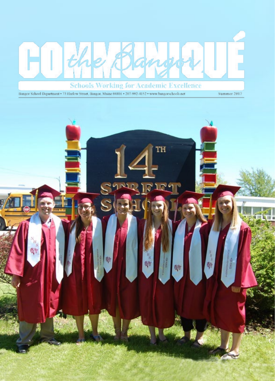

Bangor School Department . 73 Harlow Street, Bangor, Maine 04401 . 207-992-4152 . www.bangorschools.net

Summer 2017

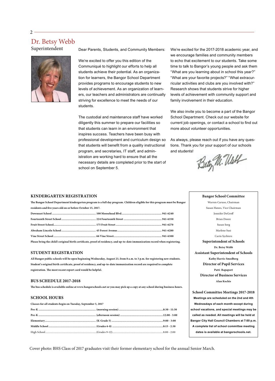# Dr. Betsy Webb

Superintendent



Dear Parents, Students, and Community Members:

We're excited to offer you this edition of the Communiqué to highlight our efforts to help all students achieve their potential. As an organization for learners, the Bangor School Department provides programs to encourage students to new levels of achievement. As an organization of learners, our teachers and administrators are continually striving for excellence to meet the needs of our students.

The custodial and maintenance staff have worked diligently this summer to prepare our facilities so that students can learn in an environment that inspires success. Teachers have been busy with professional development and curriculum design so that students will benefit from a quality instructional program, and secretaries, IT staff, and administration are working hard to ensure that all the necessary details are completed prior to the start of school on September 5.

We're excited for the 2017-2018 academic year, and we encourage families and community members to echo that excitement to our students. Take some time to talk to Bangor's young people and ask them "What are you learning about in school this year?" "What are your favorite projects?" "What extracurricular activities and clubs are you involved with?" Research shows that students strive for higher levels of achievement with community support and family involvement in their education.

We also invite you to become a part of the Bangor School Department. Check out our website for current job openings, or contact a school to find out more about volunteer opportunities.

As always, please reach out if you have any questions. Thank you for your support of our schools and students!

Bety M. Uluth

## **KINDERGARTEN REGISTRATION**

|                                                             | The Bangor School Department kindergarten program is a full day program. Children eligible for this program must be Bangor    |  |  |  |
|-------------------------------------------------------------|-------------------------------------------------------------------------------------------------------------------------------|--|--|--|
| residents and five years old on or before October 15, 2017. |                                                                                                                               |  |  |  |
|                                                             |                                                                                                                               |  |  |  |
|                                                             |                                                                                                                               |  |  |  |
|                                                             |                                                                                                                               |  |  |  |
|                                                             |                                                                                                                               |  |  |  |
|                                                             |                                                                                                                               |  |  |  |
|                                                             | Please bring the child's original birth certificate, proof of residency, and up-to-date immunization record when registering. |  |  |  |

#### **STUDENT REGISTRATION**

**All Bangor public schools will be open beginning Wednesday, August 23, from 8 a.m. to 3 p.m. for registering new students. Student's original birth certificate, proof of residency, and up-to-date immunization record are required to complete registration. The most recent report card would be helpful.**

### **BUS SCHEDULE 2017-2018**

**The bus schedule is available online at www.bangorschools.net or you may pick up a copy at any school during business hours.**

# **SCHOOL HOURS**

| Classes for all students begin on Tuesday, September 5, 2017 |  |
|--------------------------------------------------------------|--|
|                                                              |  |
|                                                              |  |
|                                                              |  |
|                                                              |  |
|                                                              |  |
|                                                              |  |

**Bangor School Committee** Warren Caruso, Chairman Susan Hawes, Vice Chairman Jennifer DeGroff Brian Doore Susan Sorg Marlene Susi Carin Sychterz **Superintendent of Schools Dr. Betsy Webb Assistant Superintendent of Schools Kathy Harris-Smedberg Director of Pupil Services Patti Rapaport Director of Business Services Alan Kochis**

**School Committee Meetings 2017-2018 Meetings are scheduled on the 2nd and 4th Wednesdays of each month except during school vacations, and special meetings may be called as needed. All meetings will be held at Bangor City Hall Council Chambers at 7:00 p.m. A complete list of school committee meeting dates is available at bangorschools.net.** 

Cover photo: BHS Class of 2017 graduates visit their former elementary school for the annual Senior March.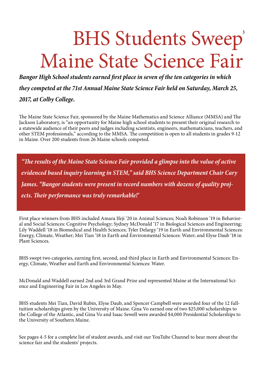# BHS Students Sweep' Maine State Science Fair

*Bangor High School students earned first place in seven of the ten categories in which they competed at the 71st Annual Maine State Science Fair held on Saturday, March 25, 2017, at Colby College.*

The Maine State Science Fair, sponsored by the Maine Mathematics and Science Alliance (MMSA) and The Jackson Laboratory, is "an opportunity for Maine high school students to present their original research to a statewide audience of their peers and judges including scientists, engineers, mathematicians, teachers, and other STEM professionals," according to the MMSA. The competition is open to all students in grades 9-12 in Maine. Over 200 students from 26 Maine schools competed.

*"The results of the Maine State Science Fair provided a glimpse into the value of active evidenced based inquiry learning in STEM," said BHS Science Department Chair Cary James. "Bangor students were present in record numbers with dozens of quality projects. Their performance was truly remarkable!'*

First place winners from BHS included Amara Ifeji '20 in Animal Sciences; Noah Robinson '19 in Behavioral and Social Sciences: Cognitive Psychology; Sydney McDonald '17 in Biological Sciences and Engineering; Lily Waddell '18 in Biomedical and Health Sciences; Tyler Delargy '19 in Earth and Environmental Sciences: Energy, Climate, Weather; Mei Tian '18 in Earth and Environmental Sciences: Water; and Elyse Daub '18 in Plant Sciences.

BHS swept two categories, earning first, second, and third place in Earth and Environmental Sciences: Energy, Climate, Weather and Earth and Environmental Sciences: Water.

McDonald and Waddell earned 2nd and 3rd Grand Prize and represented Maine at the International Science and Engineering Fair in Los Angeles in May.

BHS students Mei Tian, David Rubin, Elyse Daub, and Spencer Campbell were awarded four of the 12 fulltuition scholarships given by the University of Maine. Gina Vo earned one of two \$25,000 scholarships to the College of the Atlantic, and Gina Vo and Isaac Sewell were awarded \$4,000 Presidential Scholarships to the University of Southern Maine.

See pages 4-5 for a complete list of student awards, and visit our YouTube Channel to hear more about the science fair and the students' projects.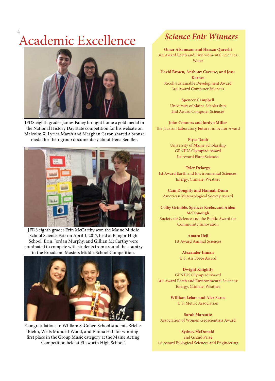# Academic Excellence 4



JFDS eighth grader James Fahey brought home a gold medal in the National History Day state competition for his website on Malcolm X. Lyrica Marsh and Meaghan Caron shared a bronze medal for their group documentary about Irena Sendler.



JFDS eighth grader Erin McCarthy won the Maine Middle School Science Fair on April 1, 2017, held at Bangor High School. Erin, Jordan Murphy, and Gillian McCarthy were nominated to compete with students from around the country in the Broadcom Masters Middle School Competition.



Congratulations to William S. Cohen School students Brielle Biehn, Wells Mundell-Wood, and Emma Hall for winning first place in the Group Music category at the Maine Acting Competition held at Ellsworth High School!

# *Science Fair Winners*

**Omar Alsamsam and Hassan Qureshi** 3rd Award Earth and Environmental Sciences: **Water** 

**David Brown, Anthony Caccese, and Jesse Karnes** Ricoh Sustainable Development Award 3rd Award Computer Sciences

> **Spencer Campbell** University of Maine Scholarship 2nd Award Computer Sciences

**John Connors and Jordyn Miller** The Jackson Laboratory Future Innovator Award

> **Elyse Daub** University of Maine Scholarship GENIUS Olympiad Award 1st Award Plant Sciences

> > **Tyler Delargy**

1st Award Earth and Environmental Sciences: Energy, Climate, Weather

**Cam Doughty and Hannah Dunn** American Meteorological Society Award

**Colby Grimble, Spencer Krebs, and Aiden McDonough** Society for Science and the Public Award for Community Innovation

> **Amara Ifeji** 1st Award Animal Sciences

**Alexander Inman** U.S. Air Force Award

**Dwight Knightly** GENIUS Olympiad Award 3rd Award Earth and Environmental Sciences: Energy, Climate, Weather

> **William Lehan and Alex Saros** U.S. Metric Association

**Sarah Marcotte** Association of Women Geoscientists Award

**Sydney McDonald** 2nd Grand Prize 1st Award Biological Sciences and Engineering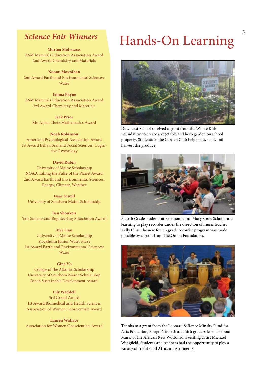# *Science Fair Winners*

**Marina Mohawass** ASM Materials Education Association Award

2nd Award Chemistry and Materials

**Naomi Moynihan** 2nd Award Earth and Environmental Sciences: **Water** 

**Emma Payne** ASM Materials Education Association Award 3rd Award Chemistry and Materials

**Jack Prior** Mu Alpha Theta Mathematics Award

# **Noah Robinson**

American Psychological Association Award 1st Award Behavioral and Social Sciences: Cognitive Psychology

## **David Rubin**

University of Maine Scholarship NOAA Taking the Pulse of the Planet Award 2nd Award Earth and Environmental Sciences: Energy, Climate, Weather

**Isaac Sewell** University of Southern Maine Scholarship

**Ban Shoukeir** Yale Science and Engineering Association Award

#### **Mei Tian**

University of Maine Scholarship Stockholm Junior Water Prize 1st Award Earth and Environmental Sciences: Water

## **Gina Vo**

College of the Atlantic Scholarship University of Southern Maine Scholarship Ricoh Sustainable Development Award

**Lily Waddell** 3rd Grand Award 1st Award Biomedical and Health Sciences Association of Women Geoscientists Award

**Lauren Wallace** Association for Women Geoscientists Award

# Hands-On Learning



Downeast School received a grant from the Whole Kids Foundation to create a vegetable and herb garden on school property. Students in the Garden Club help plant, tend, and harvest the produce!



Fourth Grade students at Fairmount and Mary Snow Schools are learning to play recorder under the direction of music teacher Kelly Ellis. The new fourth grade recorder program was made possible by a grant from The Onion Foundation.



Thanks to a grant from the Leonard & Renee Minsky Fund for Arts Education, Bangor's fourth and fifth graders learned about Music of the African New World from visiting artist Michael Wingfield. Students and teachers had the opportunity to play a variety of traditional African instruments.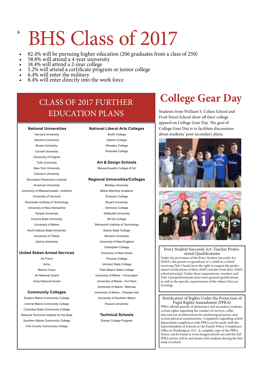# BHS Class of 2017

- 82.4% will be pursuing higher education (206 graduates from a class of 250) 58.8% will attend a 4-year university 18.4% will attend a 2-year college<br>5.2% will attend a 2-year college<br>5.2% will attend a certificate program
- 
- 
- 
- 
- 

# CLASS OF 2017 FURTHER EDUCATION PLANS

# **National Universities**

Harvard University Stanford University Brown University Cornell University University of Virginia Tufts University New York University Clemson University Worcester Polytechnic Institute American University Universtiy of Massachusetts - Amherst University of Vermont Rochester Institute of Technology University of New Hampshire Temple University Arizona State University University of Maine North Dakota State University University of Toledo Liberty University

## **United States Armed Services**

Air Force Army Marine Corps Air National Guard Army National Guard

## **Community Colleges**

Eastern Maine Community College Central Maine Community College Columbia State Community College National Technical Institute for the Deaf Southern Maine Community College York County Community College

#### **National Liberal Arts Colleges**

Smith College Oberlin College Wheaton College Roanoke College

## **Art & Design Schools**

Massachusetts College of Art

### **Regional Universities/Colleges**

Bentley University Maine Maritime Academy Emerson College Bryant Universtiy Simmons College Gallaudet University Mt Ida College Wentworth Institute of Technology Keene State College Norwich University University of New England Champlain College University of New Haven Thomas College Johnson State College Palm Beach State College University of Maine – Farmington University of Maine - Fort Kent University of Maine - Machias University of Maine – Presque Isle University of Southern Maine Husson University

> **Technical Schools** Disney College Program

# **College Gear Day**

Students from William S. Cohen School and Fruit Street School show off their college apparel on College Gear Day. The goal of College Gear Day is to facilitate discussions about students' post-secondary plans.





## Every Student Succeeds Act: Teacher Professional Qualifications

Under the provisions of the Every Student Succeeds Act (ESSA), the parents or guardians of a child in a school receiving Title I funds have the right to request the professional certifications of their child's teacher from their child's school principal. Under these requirements, teachers and Title I paraprofessionals must meet general qualifications as well as the specific requirements of the subject they are teaching.

### Notification of Rights Under the Protection of Pupil Rights Amendment (PPRA)

PPRA affords parents of elementary and secondary students certain rights regarding the conduct of surveys, collection and use of information for marketing purposes, and certain physical examinations. Complaints regarding school department compliance with PPRA can be made with the Superintendent of Schools or the Family Policy Compliance Office in Washington, D.C. A complete copy of the PPRA Notice can be found at www.bangorschools.net and the full PPRA notice will be sent home with students during the first week of school.

6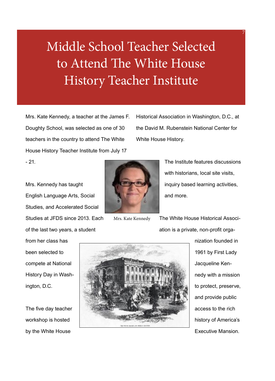# Middle School Teacher Selected to Attend The White House History Teacher Institute

Mrs. Kate Kennedy, a teacher at the James F. Doughty School, was selected as one of 30 teachers in the country to attend The White House History Teacher Institute from July 17

Historical Association in Washington, D.C., at the David M. Rubenstein National Center for White House History.

 $- 21.$ 

Mrs. Kennedy has taught English Language Arts, Social Studies, and Accelerated Social Studies at JFDS since 2013. Each of the last two years, a student

from her class has been selected to compete at National History Day in Washington, D.C.

The five day teacher workshop is hosted by the White House



Mrs. Kate Kennedy

The Institute features discussions with historians, local site visits, inquiry based learning activities, and more.

7

The White House Historical Association is a private, non-profit orga-



nization founded in 1961 by First Lady Jacqueline Kennedy with a mission to protect, preserve, and provide public access to the rich history of America's Executive Mansion.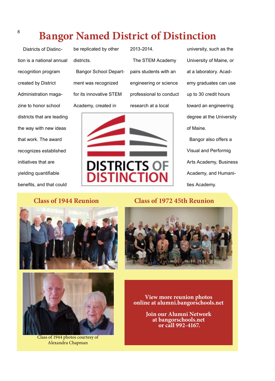# <sup>8</sup> Bangor Named District of Distinction

 Districts of Distinction is a national annual recognition program created by District Administration magazine to honor school districts that are leading the way with new ideas that work. The award recognizes established initiatives that are yielding quantifiable benefits, and that could

be replicated by other districts. Bangor School Department was recognized for its innovative STEM Academy, created in

2013-2014. The STEM Academy pairs students with an engineering or science professional to conduct research at a local



university, such as the University of Maine, or at a laboratory. Academy graduates can use up to 30 credit hours toward an engineering degree at the University of Maine.

 Bangor also offers a Visual and Performig Arts Academy, Business Academy, and Humanities Academy.

# **Class of 1944 Reunion**





Class of 1944 photos courtesy of Alexandra Chapman

# **Class of 1972 45th Reunion**



**View more reunion photos online at alumni.bangorschools.net**

**Join our Alumni Network at bangorschools.net or call 992-4167.**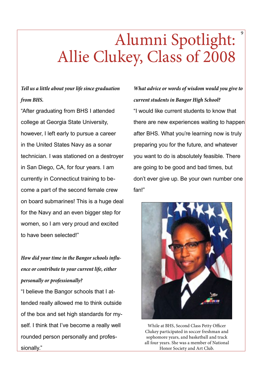# Alumni Spotlight: Allie Clukey, Class of 2008

# *Tell us a little about your life since graduation from BHS.*

"After graduating from BHS I attended college at Georgia State University, however, I left early to pursue a career in the United States Navy as a sonar technician. I was stationed on a destroyer in San Diego, CA, for four years. I am currently in Connecticut training to become a part of the second female crew on board submarines! This is a huge deal for the Navy and an even bigger step for women, so I am very proud and excited to have been selected!"

*How did your time in the Bangor schools influence or contribute to your current life, either personally or professionally?*

"I believe the Bangor schools that I attended really allowed me to think outside of the box and set high standards for myself. I think that I've become a really well rounded person personally and professionally."

*What advice or words of wisdom would you give to current students in Bangor High School?* "I would like current students to know that there are new experiences waiting to happen after BHS. What you're learning now is truly preparing you for the future, and whatever you want to do is absolutely feasible. There are going to be good and bad times, but don't ever give up. Be your own number one fan!"

9



While at BHS, Second Class Petty Officer Clukey participated in soccer freshman and sophomore years, and basketball and track all four years. She was a member of National Honor Society and Art Club.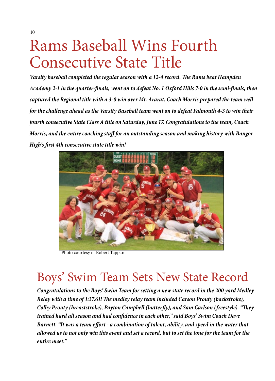# Rams Baseball Wins Fourth Consecutive State Title

*Varsity baseball completed the regular season with a 12-4 record. The Rams beat Hampden Academy 2-1 in the quarter-finals, went on to defeat No. 1 Oxford Hills 7-0 in the semi-finals, then captured the Regional title with a 3-0 win over Mt. Ararat. Coach Morris prepared the team well for the challenge ahead as the Varsity Baseball team went on to defeat Falmouth 4-3 to win their fourth consecutive State Class A title on Saturday, June 17. Congratulations to the team, Coach Morris, and the entire coaching staff for an outstanding season and making history with Bangor High's first 4th consecutive state title win!*



Photo courtesy of Robert Tappan

# Boys' Swim Team Sets New State Record

*Congratulations to the Boys' Swim Team for setting a new state record in the 200 yard Medley Relay with a time of 1:37.61! The medley relay team included Carson Prouty (backstroke), Colby Prouty (breaststroke), Payton Campbell (butterfly), and Sam Carlson (freestyle). "They trained hard all season and had confidence in each other," said Boys' Swim Coach Dave Barnett. "It was a team effort - a combination of talent, ability, and speed in the water that allowed us to not only win this event and set a record, but to set the tone for the team for the entire meet."*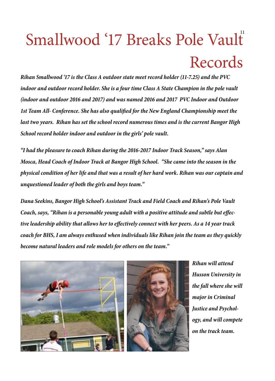# Smallwood '17 Breaks Pole Vault<sup>"</sup> Records

*Rihan Smallwood '17 is the Class A outdoor state meet record holder (11-7.25) and the PVC indoor and outdoor record holder. She is a four time Class A State Champion in the pole vault (indoor and outdoor 2016 and 2017) and was named 2016 and 2017 PVC Indoor and Outdoor 1st Team All- Conference. She has also qualified for the New England Championship meet the last two years. Rihan has set the school record numerous times and is the current Bangor High School record holder indoor and outdoor in the girls' pole vault.*

*"I had the pleasure to coach Rihan during the 2016-2017 Indoor Track Season," says Alan Mosca, Head Coach of Indoor Track at Bangor High School. "She came into the season in the physical condition of her life and that was a result of her hard work. Rihan was our captain and unquestioned leader of both the girls and boys team."*

*Dana Seekins, Bangor High School's Assistant Track and Field Coach and Rihan's Pole Vault Coach, says, "Rihan is a personable young adult with a positive attitude and subtle but effective leadership ability that allows her to effectively connect with her peers. As a 14 year track coach for BHS, I am always enthused when individuals like Rihan join the team as they quickly become natural leaders and role models for others on the team."*



*Rihan will attend Husson University in the fall where she will major in Criminal Justice and Psychology, and will compete on the track team.*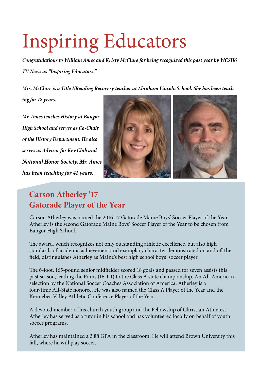# Inspiring Educators

*Congratulations to William Ames and Kristy McClure for being recognized this past year by WCSH6 TV News as "Inspiring Educators."*

*Mrs. McClure is a Title I/Reading Recovery teacher at Abraham Lincoln School. She has been teach-*

*ing for 18 years.*

*Mr. Ames teaches History at Bangor High School and serves as Co-Chair of the History Department. He also serves as Advisor for Key Club and National Honor Society. Mr. Ames has been teaching for 41 years.*



# **Carson Atherley '17 Gatorade Player of the Year**

Carson Atherley was named the 2016-17 Gatorade Maine Boys' Soccer Player of the Year. Atherley is the second Gatorade Maine Boys' Soccer Player of the Year to be chosen from Bangor High School.

The award, which recognizes not only outstanding athletic excellence, but also high standards of academic achievement and exemplary character demonstrated on and off the field, distinguishes Atherley as Maine's best high school boys' soccer player.

The 6-foot, 165-pound senior midfielder scored 18 goals and passed for seven assists this past season, leading the Rams (16-1-1) to the Class A state championship. An All-American selection by the National Soccer Coaches Association of America, Atherley is a four-time All-State honoree. He was also named the Class A Player of the Year and the Kennebec Valley Athletic Conference Player of the Year.

A devoted member of his church youth group and the Fellowship of Christian Athletes, Atherley has served as a tutor in his school and has volunteered locally on behalf of youth soccer programs.

Atherley has maintained a 3.88 GPA in the classroom. He will attend Brown University this fall, where he will play soccer.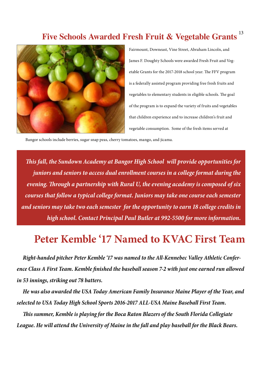## 13 **Five Schools Awarded Fresh Fruit & Vegetable Grants**



Fairmount, Downeast, Vine Street, Abraham Lincoln, and James F. Doughty Schools were awarded Fresh Fruit and Vegetable Grants for the 2017-2018 school year. The FFV program is a federally assisted program providing free fresh fruits and vegetables to elementary students in eligible schools. The goal of the program is to expand the variety of fruits and vegetables that children experience and to increase children's fruit and vegetable consumption. Some of the fresh items served at

Bangor schools include berries, sugar snap peas, cherry tomatoes, mango, and jicama.

*This fall, the Sundown Academy at Bangor High School will provide opportunities for juniors and seniors to access dual enrollment courses in a college format during the evening. Through a partnership with Rural U, the evening academy is composed of six courses that follow a typical college format. Juniors may take one course each semester and seniors may take two each semester for the opportunity to earn 18 college credits in high school. Contact Principal Paul Butler at 992-5500 for more information.*

# **Peter Kemble '17 Named to KVAC First Team**

 *Right-handed pitcher Peter Kemble '17 was named to the All-Kennebec Valley Athletic Conference Class A First Team. Kemble finished the baseball season 7-2 with just one earned run allowed in 53 innings, striking out 78 batters.* 

 *He was also awarded the USA Today American Family Insurance Maine Player of the Year, and selected to USA Today High School Sports 2016-2017 ALL-USA Maine Baseball First Team.*

 *This summer, Kemble is playing for the Boca Raton Blazers of the South Florida Collegiate League. He will attend the University of Maine in the fall and play baseball for the Black Bears.*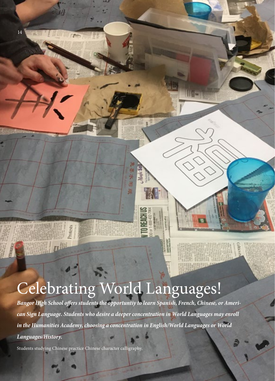# Celebrating World Languages!

*Bangor High School offers students the opportuntiy to learn Spanish, French, Chinese, or American Sign Language. Students who desire a deeper concentration in World Languages may enroll in the Humanities Academy, choosing a concentration in English/World Languages or World Languages/History.*

Gr. 最

Students studying Chinese practice Chinese character calligraphy.

14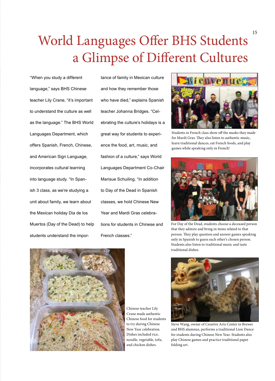# World Languages Offer BHS Students a Glimpse of Different Cultures

"When you study a different language," says BHS Chinese teacher Lily Crane, "it's important to understand the culture as well as the language." The BHS World Languages Department, which offers Spanish, French, Chinese, and American Sign Language, incorporates cultural learning into language study. "In Spanish 3 class, as we're studying a unit about family, we learn about the Mexican holiday Dia de los Muertos (Day of the Dead) to help students understand the impor-

tance of family in Mexican culture and how they remember those who have died," explains Spanish teacher Johanna Bridges. "Celebrating the culture's holidays is a great way for students to experience the food, art, music, and fashion of a culture," says World Languages Department Co-Chair Marisue Schuiling. "In addition to Day of the Dead in Spanish classes, we hold Chinese New Year and Mardi Gras celebrations for students in Chinese and French classes."



Students in French class show off the masks they made for Mardi Gras. They also listen to authentic music, learn traditional dances, eat French foods, and play games while speaking only in French!



For Day of the Dead, students choose a deceased person that they admire and bring in items related to that person. They play question and answer games speaking only in Spanish to guess each other's chosen person. Students also listen to traditional music and taste traditional dishes.



Chinese teacher Lily Crane made authentic Chinese food for students to try during Chinese New Year celebration. Dishes included rice, noodle, vegetable, tofu, and chicken dishes.



Steve Wang, owner of Creative Arts Center in Brewer and BHS alumnus, performs a traditional Lion Dance for students during Chinese New Year. Students also play Chinese games and practice traditional paper folding art.